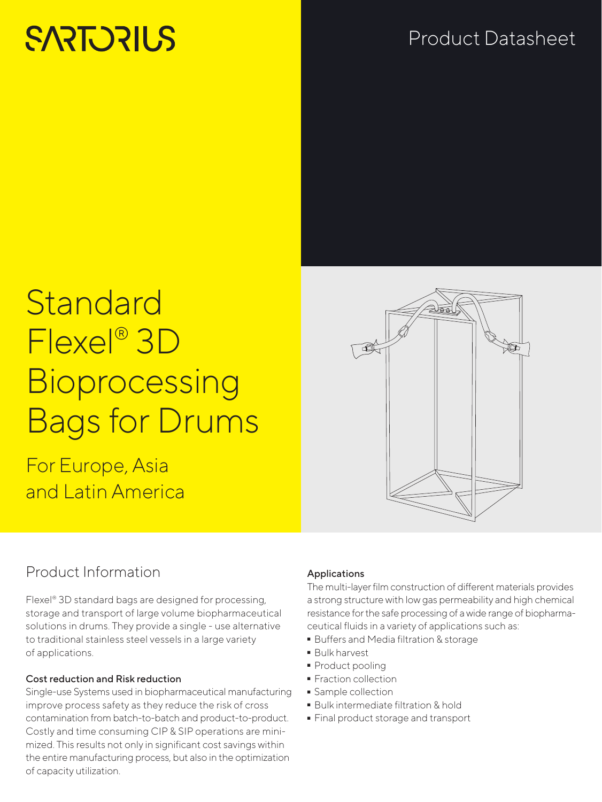# **SARTORILS**

# Product Datasheet

# **Standard** Flexel® 3D **Bioprocessing** Bags for Drums

For Europe, Asia and Latin America

## Product Information

Flexel® 3D standard bags are designed for processing, storage and transport of large volume biopharmaceutical solutions in drums. They provide a single - use alternative to traditional stainless steel vessels in a large variety of applications.

#### Cost reduction and Risk reduction

Single-use Systems used in biopharmaceutical manufacturing improve process safety as they reduce the risk of cross contamination from batch-to-batch and product-to-product. Costly and time consuming CIP & SIP operations are minimized. This results not only in significant cost savings within the entire manufacturing process, but also in the optimization of capacity utilization.



#### Applications

The multi-layer film construction of different materials provides a strong structure with low gas permeability and high chemical resistance for the safe processing of a wide range of biopharmaceutical fluids in a variety of applications such as:

- Buffers and Media filtration & storage
- 
- Bulk harvest<br>• Product po<mark>c</mark>
- Product pooling<br>• Fraction collecti • Fraction collection<br>• Sample collection
- 
- **Bulk intermediate filtration & hold**
- Bulk intermediate filtration & hold - Final product storage and transport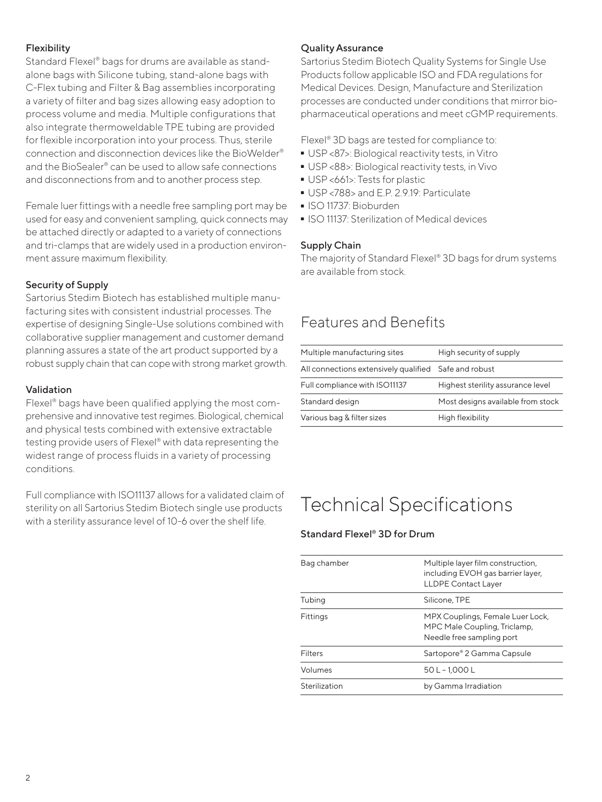#### Flexibility

Standard Flexel® bags for drums are available as standalone bags with Silicone tubing, stand-alone bags with C-Flex tubing and Filter & Bag assemblies incorporating a variety of filter and bag sizes allowing easy adoption to process volume and media. Multiple configurations that also integrate thermoweldable TPE tubing are provided for flexible incorporation into your process. Thus, sterile connection and disconnection devices like the BioWelder® and the BioSealer® can be used to allow safe connections and disconnections from and to another process step.

Female luer fittings with a needle free sampling port may be used for easy and convenient sampling, quick connects may be attached directly or adapted to a variety of connections and tri-clamps that are widely used in a production environment assure maximum flexibility.

#### Security of Supply

Sartorius Stedim Biotech has established multiple manufacturing sites with consistent industrial processes. The expertise of designing Single-Use solutions combined with collaborative supplier management and customer demand planning assures a state of the art product supported by a robust supply chain that can cope with strong market growth.

#### Validation

Flexel® bags have been qualified applying the most comprehensive and innovative test regimes. Biological, chemical and physical tests combined with extensive extractable testing provide users of Flexel® with data representing the widest range of process fluids in a variety of processing conditions.

Full compliance with ISO11137 allows for a validated claim of sterility on all Sartorius Stedim Biotech single use products with a sterility assurance level of 10-6 over the shelf life.

#### Quality Assurance

Sartorius Stedim Biotech Quality Systems for Single Use Products follow applicable ISO and FDA regulations for Medical Devices. Design, Manufacture and Sterilization processes are conducted under conditions that mirror biopharmaceutical operations and meet cGMP requirements.

Flexel® 3D bags are tested for compliance to:

- 
- USP <87>: Biological reactivity tests, in Vitro ■ USP <88>: Biological reactivity tests, in Vivo<br>■ USP <661>: Tests for plastic
- 
- USP <661>: Tests for plastic - USP <788> and E.P. 2.9.19: Particulate
- 
- ISO 11737: Bioburden<br>• ISO 11137: Sterilizatior - ISO 11137: Sterilization of Medical devices

#### Supply Chain

The majority of Standard Flexel® 3D bags for drum systems are available from stock.

### Features and Benefits

| Multiple manufacturing sites                          | High security of supply           |
|-------------------------------------------------------|-----------------------------------|
| All connections extensively qualified Safe and robust |                                   |
| Full compliance with ISO11137                         | Highest sterility assurance level |
| Standard design                                       | Most designs available from stock |
| Various bag & filter sizes                            | High flexibility                  |

## Technical Specifications

#### Standard Flexel® 3D for Drum

| Bag chamber                                                                                               | Multiple layer film construction,<br>including EVOH gas barrier layer,<br><b>LLDPE Contact Layer</b> |
|-----------------------------------------------------------------------------------------------------------|------------------------------------------------------------------------------------------------------|
| Tubing                                                                                                    | Silicone, TPE                                                                                        |
| Fittings<br>MPX Couplings, Female Luer Lock,<br>MPC Male Coupling, Triclamp,<br>Needle free sampling port |                                                                                                      |
| <b>Filters</b>                                                                                            | Sartopore® 2 Gamma Capsule                                                                           |
| Volumes                                                                                                   | 50 L - 1.000 L                                                                                       |
| Sterilization                                                                                             | by Gamma Irradiation                                                                                 |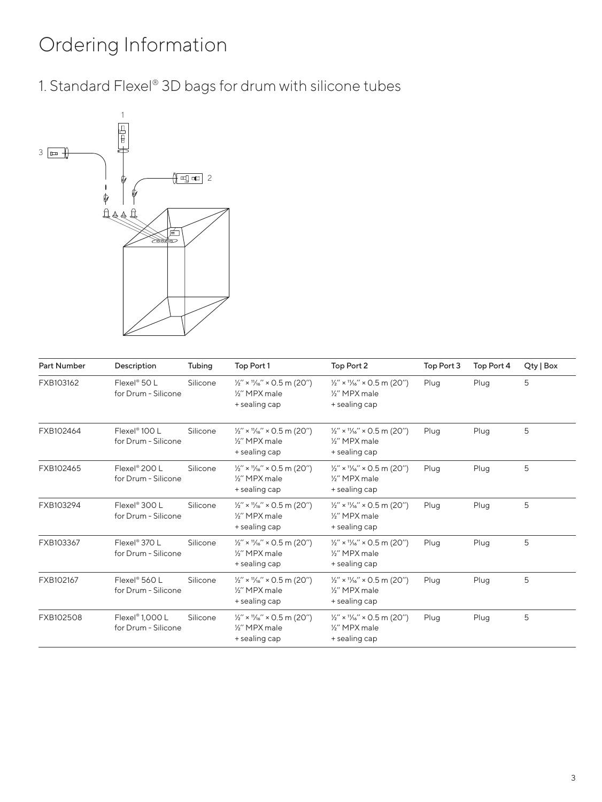# Ordering Information

1. Standard Flexel® 3D bags for drum with silicone tubes



| <b>Part Number</b> | Description                                        | Tubing   | Top Port 1                                                                                      | Top Port 2                                                                                       | Top Port 3 | Top Port 4 | Qty   Box |
|--------------------|----------------------------------------------------|----------|-------------------------------------------------------------------------------------------------|--------------------------------------------------------------------------------------------------|------------|------------|-----------|
| FXB103162          | Flexel <sup>®</sup> 50 L<br>for Drum - Silicone    | Silicone | $\frac{1}{2}$ " × $\frac{1}{16}$ " × 0.5 m (20")<br>1/ <sub>2</sub> " MPX male<br>+ sealing cap | $\frac{1}{2}$ " × $\frac{11}{16}$ " × 0.5 m (20")<br>1/ <sub>2</sub> " MPX male<br>+ sealing cap | Plug       | Plug       | 5         |
| FXB102464          | Flexel <sup>®</sup> 100 L<br>for Drum - Silicone   | Silicone | $\frac{1}{2}$ " × $\frac{1}{16}$ " × 0.5 m (20")<br>1/ <sub>2</sub> " MPX male<br>+ sealing cap | $\frac{1}{2}$ " × $\frac{1}{16}$ " × 0.5 m (20")<br>1/ <sub>2</sub> " MPX male<br>+ sealing cap  | Plug       | Plug       | 5         |
| FXB102465          | Flexel <sup>®</sup> 200 L<br>for Drum - Silicone   | Silicone | $\frac{1}{2}$ " × $\frac{1}{16}$ " × 0.5 m (20")<br>1/ <sub>2</sub> " MPX male<br>+ sealing cap | $\frac{1}{2}$ " × $\frac{1}{16}$ " × 0.5 m (20")<br>1/ <sub>2</sub> " MPX male<br>+ sealing cap  | Plug       | Plug       | 5         |
| FXB103294          | Flexel® 300 L<br>for Drum - Silicone               | Silicone | $\frac{1}{2}$ " × $\frac{1}{16}$ " × 0.5 m (20")<br>1/ <sub>2</sub> " MPX male<br>+ sealing cap | $\frac{1}{2}$ " × $\frac{1}{16}$ " × 0.5 m (20")<br>1/ <sub>2</sub> " MPX male<br>+ sealing cap  | Plug       | Plug       | 5         |
| FXB103367          | Flexel <sup>®</sup> 370 L<br>for Drum - Silicone   | Silicone | $\frac{1}{2}$ " × $\frac{1}{16}$ " × 0.5 m (20")<br>1/ <sub>2</sub> " MPX male<br>+ sealing cap | $\frac{1}{2}$ " × $\frac{1}{16}$ " × 0.5 m (20")<br>1/ <sub>2</sub> " MPX male<br>+ sealing cap  | Plug       | Plug       | 5         |
| FXB102167          | Flexel® 560 L<br>for Drum - Silicone               | Silicone | $\frac{1}{2}$ " × $\frac{1}{16}$ " × 0.5 m (20")<br>1/ <sub>2</sub> " MPX male<br>+ sealing cap | $\frac{1}{2}$ " × $\frac{1}{16}$ " × 0.5 m (20")<br>1/ <sub>2</sub> " MPX male<br>+ sealing cap  | Plug       | Plug       | 5         |
| FXB102508          | Flexel <sup>®</sup> 1,000 L<br>for Drum - Silicone | Silicone | $\frac{1}{2}$ " × $\frac{1}{16}$ " × 0.5 m (20")<br>1/2" MPX male<br>+ sealing cap              | $\frac{1}{2}$ " × $\frac{11}{16}$ " × 0.5 m (20")<br>1/2" MPX male<br>+ sealing cap              | Plug       | Plug       | 5         |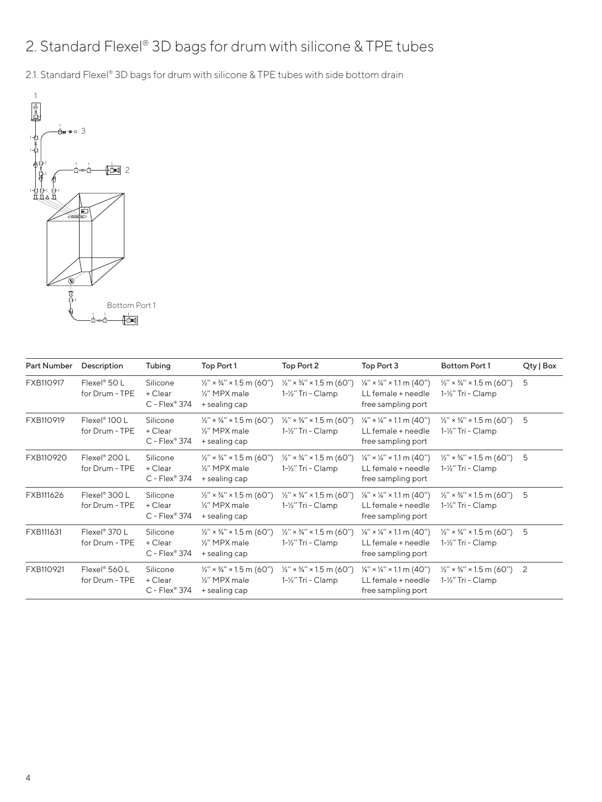## 2. Standard Flexel® 3D bags for drum with silicone & TPE tubes

2.1. Standard Flexel® 3D bags for drum with silicone & TPE tubes with side bottom drain



| Part Number | Description                                   | Tubing                                 | Top Port 1                                                                                     | Top Port 2                                                            | Top Port 3                                                                                  | <b>Bottom Port 1</b>                                                  | Qty   Box |
|-------------|-----------------------------------------------|----------------------------------------|------------------------------------------------------------------------------------------------|-----------------------------------------------------------------------|---------------------------------------------------------------------------------------------|-----------------------------------------------------------------------|-----------|
| FXB110917   | Flexel <sup>®</sup> 50 L<br>for Drum - TPE    | Silicone<br>+ Clear<br>$C$ - Flex® 374 | $\frac{1}{2}$ " × $\frac{3}{4}$ " × 1.5 m (60")<br>1/2" MPX male<br>+ sealing cap              | $\frac{1}{2}$ " × $\frac{3}{4}$ " × 1.5 m (60")<br>1-1/2" Tri - Clamp | $\frac{1}{8}$ " × ¼" × 1.1 m (40")<br>LL female + needle<br>free sampling port              | $\frac{1}{2}$ " × $\frac{3}{4}$ " × 1.5 m (60")<br>1-½" Tri - Clamp   | 5         |
| FXB110919   | Flexel <sup>®</sup> $100 L$<br>for Drum - TPE | Silicone<br>+ Clear<br>$C$ - Flex® 374 | $\frac{1}{2}$ " × $\frac{3}{4}$ " × 1.5 m (60")<br>1/ <sub>2</sub> " MPX male<br>+ sealing cap | $\frac{1}{2}$ " × $\frac{3}{4}$ " × 1.5 m (60")<br>1-½" Tri - Clamp   | $\frac{1}{8}$ " × $\frac{1}{4}$ " × 1.1 m (40")<br>LL female + needle<br>free sampling port | $\frac{1}{2}$ " × $\frac{3}{4}$ " × 1.5 m (60")<br>1-1/2" Tri - Clamp | 5         |
| FXB110920   | Flexel® 200 L<br>for Drum - TPE               | Silicone<br>+ Clear<br>$C$ - Flex® 374 | $\frac{1}{2}$ " × $\frac{3}{4}$ " × 1.5 m (60")<br>1/ <sub>2</sub> " MPX male<br>+ sealing cap | $\frac{1}{2}$ " × $\frac{3}{4}$ " × 1.5 m (60")<br>1-½" Tri - Clamp   | $\frac{1}{8}$ " × $\frac{1}{4}$ " × 1.1 m (40")<br>LL female + needle<br>free sampling port | $\frac{1}{2}$ " × $\frac{3}{4}$ " × 1.5 m (60")<br>1-½" Tri - Clamp   | 5         |
| FXB111626   | Flexel <sup>®</sup> 300 L<br>for Drum - TPE   | Silicone<br>+ Clear<br>$C$ - Flex® 374 | $\frac{1}{2}$ " × $\frac{3}{4}$ " × 1.5 m (60")<br>1/ <sub>2</sub> " MPX male<br>+ sealing cap | $\frac{1}{2}$ " × $\frac{3}{4}$ " × 1.5 m (60")<br>1-1/2" Tri - Clamp | $\frac{1}{8}$ " × $\frac{1}{4}$ " × 1.1 m (40")<br>LL female + needle<br>free sampling port | $\frac{1}{2}$ " × $\frac{3}{4}$ " × 1.5 m (60")<br>1-½" Tri - Clamp   | 5         |
| FXB111631   | Flexel <sup>®</sup> 370 L<br>for Drum - TPE   | Silicone<br>+ Clear<br>$C$ - Flex® 374 | $\frac{1}{2}$ " × $\frac{3}{4}$ " × 1.5 m (60")<br>1/ <sub>2</sub> " MPX male<br>+ sealing cap | $\frac{1}{2}$ " × $\frac{3}{4}$ " × 1.5 m (60")<br>1-1/2" Tri - Clamp | $\frac{1}{8}$ " × $\frac{1}{4}$ " × 1.1 m (40")<br>LL female + needle<br>free sampling port | $\frac{1}{2}$ " × $\frac{3}{4}$ " × 1.5 m (60")<br>1-1/2" Tri - Clamp | 5         |
| FXB110921   | Flexel® 560 L<br>for Drum - TPE               | Silicone<br>+ Clear<br>$C$ - Flex® 374 | $\frac{1}{2}$ " × $\frac{3}{4}$ " × 1.5 m (60")<br>1/ <sub>2</sub> " MPX male<br>+ sealing cap | $\frac{1}{2}$ " × $\frac{3}{4}$ " × 1.5 m (60")<br>1-1/2" Tri - Clamp | $\frac{1}{8}$ " × ¼" × 1.1 m (40")<br>LL female + needle<br>free sampling port              | $\frac{1}{2}$ " × $\frac{3}{4}$ " × 1.5 m (60")<br>1-½" Tri - Clamp   | 2         |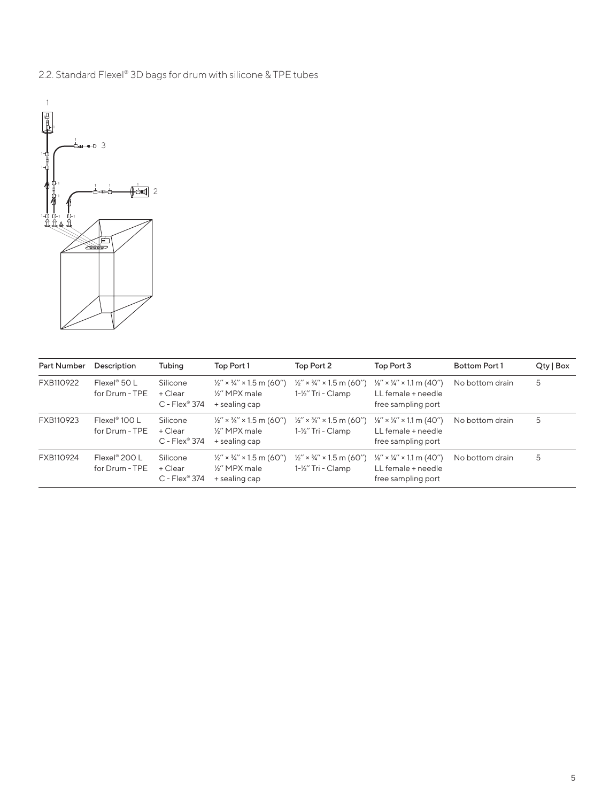



| <b>Part Number</b> | Description                                | Tubing                                 | Top Port 1                                                                                     | Top Port 2                                                            | Top Port 3                                                                                  | <b>Bottom Port 1</b> | Qty   Box |
|--------------------|--------------------------------------------|----------------------------------------|------------------------------------------------------------------------------------------------|-----------------------------------------------------------------------|---------------------------------------------------------------------------------------------|----------------------|-----------|
| FXB110922          | Flexel <sup>®</sup> 50 L<br>for Drum - TPE | Silicone<br>+ Clear<br>$C$ - Flex® 374 | $\frac{1}{2}$ " × $\frac{3}{4}$ " × 1.5 m (60")<br>1/ <sub>2</sub> " MPX male<br>+ sealing cap | $\frac{1}{2}$ " × $\frac{3}{4}$ " × 1.5 m (60")<br>1-1/2" Tri - Clamp | $\frac{1}{8}$ " × 1/4" × 1.1 m (40")<br>LL female + needle<br>free sampling port            | No bottom drain      | 5         |
| FXB110923          | $Flexel^* 100 L$<br>for Drum - TPE         | Silicone<br>+ Clear<br>$C$ - Flex® 374 | $\frac{1}{2}$ " × $\frac{3}{4}$ " × 1.5 m (60")<br>1/ <sub>2</sub> " MPX male<br>+ sealing cap | $\frac{1}{2}$ " × $\frac{3}{4}$ " × 1.5 m (60")<br>1-1/2" Tri - Clamp | $\frac{1}{8}$ " × $\frac{1}{4}$ " × 1.1 m (40")<br>LL female + needle<br>free sampling port | No bottom drain      | 5         |
| FXB110924          | Flexel® 200 L<br>for Drum - TPE            | Silicone<br>+ Clear<br>$C$ - Flex® 374 | $\frac{1}{2}$ " × $\frac{3}{4}$ " × 1.5 m (60")<br>1/ <sub>2</sub> " MPX male<br>+ sealing cap | $\frac{1}{2}$ " × $\frac{3}{4}$ " × 1.5 m (60")<br>1-1/2" Tri - Clamp | $\frac{1}{8}$ " × $\frac{1}{4}$ " × 1.1 m (40")<br>LL female + needle<br>free sampling port | No bottom drain      | 5         |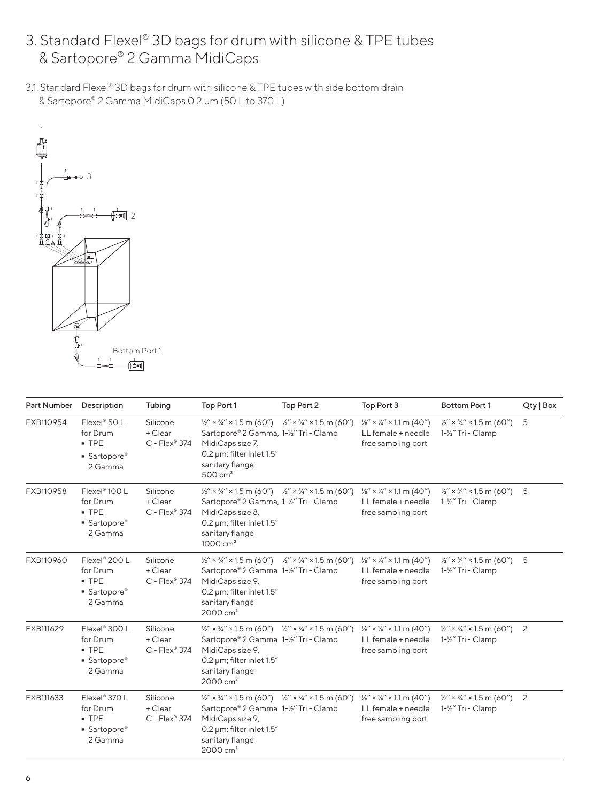- 3. Standard Flexel® 3D bags for drum with silicone & TPE tubes & Sartopore® 2 Gamma MidiCaps
- 3.1. Standard Flexel® 3D bags for drum with silicone & TPE tubes with side bottom drain & Sartopore® 2 Gamma MidiCaps 0.2 μm (50 L to 370 L)



| Part Number | Description                                                                 | Tubing                                 | Top Port 1                                                                                                                                                                                                                                               | Top Port 2                                      | Top Port 3                                                                                  | <b>Bottom Port 1</b>                                                  | Qty   Box |
|-------------|-----------------------------------------------------------------------------|----------------------------------------|----------------------------------------------------------------------------------------------------------------------------------------------------------------------------------------------------------------------------------------------------------|-------------------------------------------------|---------------------------------------------------------------------------------------------|-----------------------------------------------------------------------|-----------|
| FXB110954   | Flexel <sup>®</sup> 50 L<br>for Drum<br>$-$ TPE<br>• Sartopore®<br>2 Gamma  | Silicone<br>+ Clear<br>$C$ - Flex® 374 | $\frac{1}{2}$ " × $\frac{3}{4}$ " × 1.5 m (60")<br>Sartopore® 2 Gamma, 1-1/2" Tri - Clamp<br>MidiCaps size 7,<br>0.2 µm; filter inlet 1.5"<br>sanitary flange<br>$500 \text{ cm}^2$                                                                      | $\frac{1}{2}$ " × $\frac{3}{4}$ " × 1.5 m (60") | $\frac{1}{8}$ " × $\frac{1}{4}$ " × 1.1 m (40")<br>LL female + needle<br>free sampling port | $\frac{1}{2}$ " × $\frac{3}{4}$ " × 1.5 m (60")<br>1-1/2" Tri - Clamp | 5         |
| FXB110958   | Flexel <sup>®</sup> 100 L<br>for Drum<br>$-$ TPE<br>• Sartopore®<br>2 Gamma | Silicone<br>+ Clear<br>$C$ - Flex® 374 | $\frac{1}{2}$ $\times$ $\frac{3}{4}$ $\times$ 1.5 m (60") $\frac{1}{2}$ $\times$ $\frac{3}{4}$ $\times$ 1.5 m (60")<br>Sartopore® 2 Gamma, 1-1/2" Tri - Clamp<br>MidiCaps size 8,<br>0.2 um; filter inlet 1.5"<br>sanitary flange<br>$1000 \text{ cm}^2$ |                                                 | $\frac{1}{8}$ " × $\frac{1}{4}$ " × 1.1 m (40")<br>LL female + needle<br>free sampling port | $\frac{1}{2}$ " × $\frac{3}{4}$ " × 1.5 m (60")<br>1-1/2" Tri - Clamp | 5         |
| FXB110960   | Flexel <sup>®</sup> 200 L<br>for Drum<br>$-$ TPE<br>• Sartopore®<br>2 Gamma | Silicone<br>+ Clear<br>$C$ - Flex® 374 | $\frac{1}{2}$ " × $\frac{3}{4}$ " × 1.5 m (60") $\frac{1}{2}$ " × $\frac{3}{4}$ " × 1.5 m (60")<br>Sartopore® 2 Gamma 1-1/2" Tri - Clamp<br>MidiCaps size 9,<br>0.2 µm; filter inlet 1.5"<br>sanitary flange<br>$2000 \text{ cm}^2$                      |                                                 | $\frac{1}{8}$ " × $\frac{1}{4}$ " × 1.1 m (40")<br>LL female + needle<br>free sampling port | $\frac{1}{2}$ " × $\frac{3}{4}$ " × 1.5 m (60")<br>1-1/2" Tri - Clamp | 5         |
| FXB111629   | Flexel <sup>®</sup> 300 L<br>for Drum<br>$-$ TPE<br>• Sartopore®<br>2 Gamma | Silicone<br>+ Clear<br>$C$ - Flex® 374 | $\frac{1}{2}$ " × $\frac{3}{4}$ " × 1.5 m (60") $\frac{1}{2}$ " × $\frac{3}{4}$ " × 1.5 m (60")<br>Sartopore® 2 Gamma 1-1/2" Tri - Clamp<br>MidiCaps size 9,<br>0.2 um; filter inlet 1.5"<br>sanitary flange<br>$2000 \text{ cm}^2$                      |                                                 | $\frac{1}{8}$ " × $\frac{1}{4}$ " × 1.1 m (40")<br>LL female + needle<br>free sampling port | $\frac{1}{2}$ " × $\frac{3}{4}$ " × 1.5 m (60")<br>1-1/2" Tri - Clamp | 2         |
| FXB111633   | Flexel <sup>®</sup> 370 L<br>for Drum<br>$-$ TPE<br>• Sartopore®<br>2 Gamma | Silicone<br>+ Clear<br>$C$ - Flex® 374 | $\frac{1}{2}$ " × 3/4" × 1.5 m (60") $\frac{1}{2}$ " × 3/4" × 1.5 m (60")<br>Sartopore® 2 Gamma 1-1/2" Tri - Clamp<br>MidiCaps size 9,<br>0.2 µm; filter inlet 1.5"<br>sanitary flange<br>$2000 \text{ cm}^2$                                            |                                                 | $\frac{1}{8}$ " × $\frac{1}{4}$ " × 1.1 m (40")<br>LL female + needle<br>free sampling port | $\frac{1}{2}$ " × $\frac{3}{4}$ " × 1.5 m (60")<br>1-1/2" Tri - Clamp | 2         |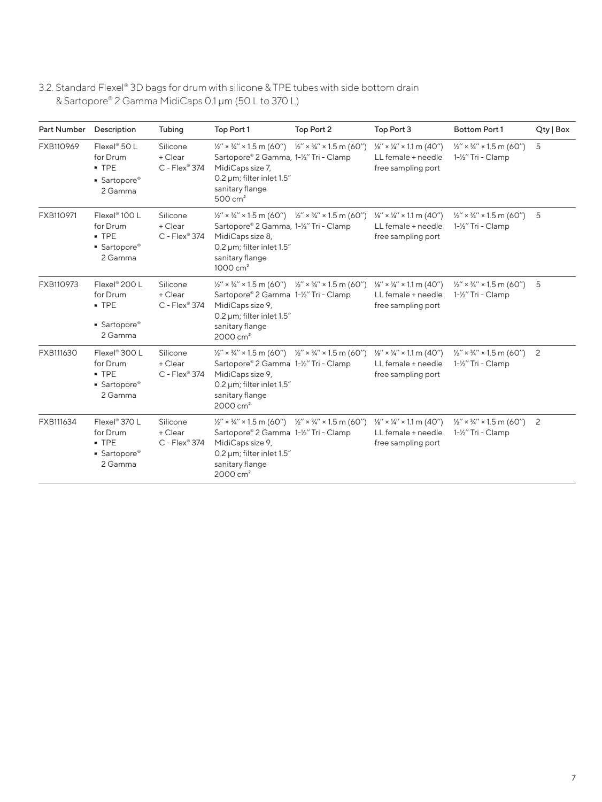3.2. Standard Flexel® 3D bags for drum with silicone & TPE tubes with side bottom drain & Sartopore® 2 Gamma MidiCaps 0.1 μm (50 L to 370 L)

| Part Number | Description                                                                 | Tubing                                 | Top Port 1                                                                                                                                                                                                                           | Top Port 2                                      | Top Port 3                                                                                  | <b>Bottom Port 1</b>                                                  | Qty   Box |
|-------------|-----------------------------------------------------------------------------|----------------------------------------|--------------------------------------------------------------------------------------------------------------------------------------------------------------------------------------------------------------------------------------|-------------------------------------------------|---------------------------------------------------------------------------------------------|-----------------------------------------------------------------------|-----------|
| FXB110969   | $Flexel^{\circ} 50 L$<br>for Drum<br>$-$ TPE<br>• Sartopore®<br>2 Gamma     | Silicone<br>+ Clear<br>$C$ - Flex® 374 | $\frac{1}{2}$ " × $\frac{3}{4}$ " × 1.5 m (60")<br>Sartopore® 2 Gamma, 1-1/2" Tri - Clamp<br>MidiCaps size 7,<br>0.2 µm; filter inlet 1.5"<br>sanitary flange<br>$500 \text{ cm}^2$                                                  | $\frac{1}{2}$ " × $\frac{3}{4}$ " × 1.5 m (60") | $\frac{1}{8}$ " × $\frac{1}{4}$ " × 1.1 m (40")<br>LL female + needle<br>free sampling port | $\frac{1}{2}$ " × $\frac{3}{4}$ " × 1.5 m (60")<br>1-1/2" Tri - Clamp | 5         |
| FXB110971   | Flexel <sup>®</sup> 100 L<br>for Drum<br>$-$ TPE<br>• Sartopore®<br>2 Gamma | Silicone<br>+ Clear<br>$C$ - Flex® 374 | $\frac{1}{2}$ " × 3/4" × 1.5 m (60") $\frac{1}{2}$ " × 3/4" × 1.5 m (60")<br>Sartopore® 2 Gamma, 1-1/2" Tri - Clamp<br>MidiCaps size 8,<br>0.2 um; filter inlet 1.5"<br>sanitary flange<br>$1000 \text{ cm}^2$                       |                                                 | $\frac{1}{8}$ " × 1/4" × 1.1 m (40")<br>LL female + needle<br>free sampling port            | $\frac{1}{2}$ " × $\frac{3}{4}$ " × 1.5 m (60")<br>1-1/2" Tri - Clamp | 5         |
| FXB110973   | Flexel <sup>®</sup> 200 L<br>for Drum<br>$-$ TPE<br>• Sartopore®<br>2 Gamma | Silicone<br>+ Clear<br>$C$ - Flex® 374 | $\frac{1}{2}$ " × $\frac{3}{4}$ " × 1.5 m (60") $\frac{1}{2}$ " × $\frac{3}{4}$ " × 1.5 m (60")<br>Sartopore® 2 Gamma 1-1/2" Tri - Clamp<br>MidiCaps size 9,<br>0.2 µm; filter inlet 1.5"<br>sanitary flange<br>2000 cm <sup>2</sup> |                                                 | $\frac{1}{8}$ " × 1/4" × 1.1 m (40")<br>LL female + needle<br>free sampling port            | $\frac{1}{2}$ " × $\frac{3}{4}$ " × 1.5 m (60")<br>1-1/2" Tri - Clamp | 5         |
| FXB111630   | Flexel <sup>®</sup> 300 L<br>for Drum<br>$-$ TPE<br>• Sartopore®<br>2 Gamma | Silicone<br>+ Clear<br>$C$ - Flex® 374 | $\frac{1}{2}$ x $\frac{3}{4}$ x 1.5 m (60") $\frac{1}{2}$ x $\frac{3}{4}$ x 1.5 m (60")<br>Sartopore® 2 Gamma 1-1/2" Tri - Clamp<br>MidiCaps size 9,<br>0.2 µm; filter inlet 1.5"<br>sanitary flange<br>$2000 \text{ cm}^2$          |                                                 | $\frac{1}{8}$ " × $\frac{1}{4}$ " × 1.1 m (40")<br>LL female + needle<br>free sampling port | $\frac{1}{2}$ " × $\frac{3}{4}$ " × 1.5 m (60")<br>1-1/2" Tri - Clamp | 2         |
| FXB111634   | Flexel <sup>®</sup> 370 L<br>for Drum<br>$-$ TPE<br>• Sartopore®<br>2 Gamma | Silicone<br>+ Clear<br>$C$ - Flex® 374 | $\frac{1}{2}$ " × $\frac{3}{4}$ " × 1.5 m (60") $\frac{1}{2}$ " × $\frac{3}{4}$ " × 1.5 m (60")<br>Sartopore® 2 Gamma 1-1/2" Tri - Clamp<br>MidiCaps size 9,<br>0.2 µm; filter inlet 1.5"<br>sanitary flange<br>$2000 \text{ cm}^2$  |                                                 | $\frac{1}{8}$ " × $\frac{1}{4}$ " × 1.1 m (40")<br>LL female + needle<br>free sampling port | $\frac{1}{2}$ " × $\frac{3}{4}$ " × 1.5 m (60")<br>1-1/2" Tri - Clamp | 2         |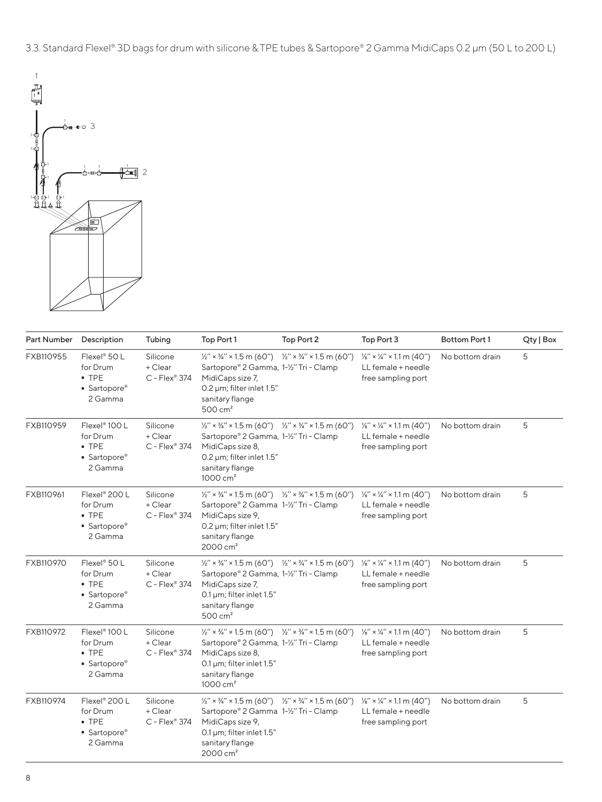3.3. Standard Flexel® 3D bags for drum with silicone & TPE tubes & Sartopore® 2 Gamma MidiCaps 0.2 μm (50 L to 200 L)



| Part Number | Description                                                                 | Tubing                                 | Top Port 1                                                                                                                                                                                                                                | Top Port 2 | Top Port 3                                                                                  | Bottom Port 1   | Qty   Box |
|-------------|-----------------------------------------------------------------------------|----------------------------------------|-------------------------------------------------------------------------------------------------------------------------------------------------------------------------------------------------------------------------------------------|------------|---------------------------------------------------------------------------------------------|-----------------|-----------|
| FXB110955   | Flexel® 50 L<br>for Drum<br>$-$ TPE<br>• Sartopore®<br>2 Gamma              | Silicone<br>+ Clear<br>$C$ - Flex® 374 | $\frac{1}{2}$ " × 3/4" × 1.5 m (60") $\frac{1}{2}$ " × 3/4" × 1.5 m (60")<br>Sartopore® 2 Gamma, 1-1/2" Tri - Clamp<br>MidiCaps size 7,<br>0.2 µm; filter inlet 1.5"<br>sanitary flange<br>$500 \text{ cm}^2$                             |            | $\frac{1}{8}$ " × $\frac{1}{4}$ " × 1.1 m (40")<br>LL female + needle<br>free sampling port | No bottom drain | 5         |
| FXB110959   | Flexel <sup>®</sup> 100 L<br>for Drum<br>$-$ TPE<br>• Sartopore®<br>2 Gamma | Silicone<br>+ Clear<br>$C$ - Flex® 374 | $\frac{1}{2}$ " × 3/4" × 1.5 m (60") $\frac{1}{2}$ " × 3/4" × 1.5 m (60")<br>Sartopore® 2 Gamma, 1-1/2" Tri - Clamp<br>MidiCaps size 8,<br>0.2 µm; filter inlet 1.5"<br>sanitary flange<br>1000 cm <sup>2</sup>                           |            | $\frac{1}{8}$ " × 1/4" × 1.1 m (40")<br>LL female + needle<br>free sampling port            | No bottom drain | 5         |
| FXB110961   | Flexel® 200 L<br>for Drum<br>$-$ TPE<br>• Sartopore®<br>2 Gamma             | Silicone<br>+ Clear<br>$C$ - Flex® 374 | $\frac{1}{2}$ " × 3/4" × 1.5 m (60") $\frac{1}{2}$ " × 3/4" × 1.5 m (60")<br>Sartopore® 2 Gamma 1-1/2" Tri - Clamp<br>MidiCaps size 9,<br>0.2 µm; filter inlet 1.5"<br>sanitary flange<br>2000 cm <sup>2</sup>                            |            | $\frac{1}{8}$ " × $\frac{1}{4}$ " × 1.1 m (40")<br>LL female + needle<br>free sampling port | No bottom drain | 5         |
| FXB110970   | Flexel <sup>®</sup> 50 L<br>for Drum<br>$-$ TPE<br>• Sartopore®<br>2 Gamma  | Silicone<br>+ Clear<br>$C$ - Flex® 374 | $\frac{1}{2}$ " × 3/4" × 1.5 m (60") $\frac{1}{2}$ " × 3/4" × 1.5 m (60")<br>Sartopore® 2 Gamma, 1-1/2" Tri - Clamp<br>MidiCaps size 7,<br>0.1 $\mu$ m; filter inlet 1.5"<br>sanitary flange<br>$500 \text{ cm}^2$                        |            | $\frac{1}{8}$ " × $\frac{1}{4}$ " × 1.1 m (40")<br>LL female + needle<br>free sampling port | No bottom drain | 5         |
| FXB110972   | Flexel <sup>®</sup> 100 L<br>for Drum<br>$-$ TPE<br>• Sartopore®<br>2 Gamma | Silicone<br>+ Clear<br>C - Flex® 374   | $\frac{1}{2}$ x $\frac{3}{4}$ x 1.5 m (60") $\frac{1}{2}$ x $\frac{3}{4}$ x 1.5 m (60")<br>Sartopore® 2 Gamma, 1-1/2" Tri - Clamp<br>MidiCaps size 8,<br>0.1 $\mu$ m; filter inlet 1.5"<br>sanitary flange<br>$1000 \text{ cm}^2$         |            | $\frac{1}{8}$ " × $\frac{1}{4}$ " × 1.1 m (40")<br>LL female + needle<br>free sampling port | No bottom drain | 5         |
| FXB110974   | Flexel® 200 L<br>for Drum<br>$-$ TPE<br>• Sartopore®<br>2 Gamma             | Silicone<br>+ Clear<br>$C$ - Flex® 374 | $\frac{1}{2}$ " × $\frac{3}{4}$ " × 1.5 m (60") $\frac{1}{2}$ " × $\frac{3}{4}$ " × 1.5 m (60")<br>Sartopore® 2 Gamma 1-1/2" Tri - Clamp<br>MidiCaps size 9,<br>0.1 $\mu$ m; filter inlet 1.5"<br>sanitary flange<br>2000 cm <sup>2</sup> |            | $\frac{1}{8}$ " × 1/4" × 1.1 m (40")<br>LL female + needle<br>free sampling port            | No bottom drain | 5         |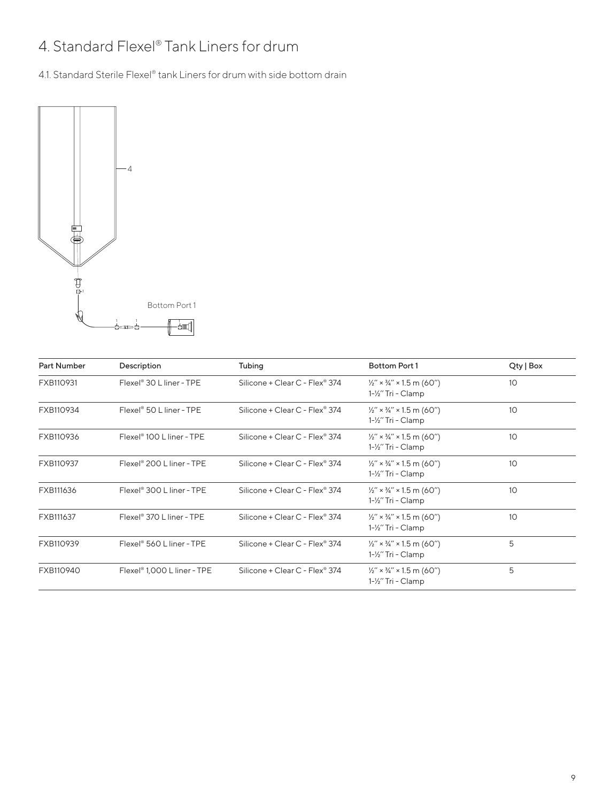## 4. Standard Flexel® Tank Liners for drum

4.1. Standard Sterile Flexel® tank Liners for drum with side bottom drain



| <b>Part Number</b> | Description                             | Tubing                         | Bottom Port 1                                                                      | Qty   Box |
|--------------------|-----------------------------------------|--------------------------------|------------------------------------------------------------------------------------|-----------|
| FXB110931          | Flexel <sup>®</sup> 30 L liner - TPE    | Silicone + Clear C - Flex® 374 | $\frac{1}{2}$ " × $\frac{3}{4}$ " × 1.5 m (60")<br>$1 - \frac{1}{2}$ " Tri - Clamp | 10        |
| FXB110934          | Flexel <sup>®</sup> 50 L liner - TPE    | Silicone + Clear C - Flex® 374 | $\frac{1}{2}$ " × $\frac{3}{4}$ " × 1.5 m (60")<br>1-1/2" Tri - Clamp              | 10        |
| FXB110936          | Flexel <sup>®</sup> 100 L liner - TPE   | Silicone + Clear C - Flex® 374 | $\frac{1}{2}$ " × $\frac{3}{4}$ " × 1.5 m (60")<br>1-1/2" Tri - Clamp              | 10        |
| FXB110937          | Flexel <sup>®</sup> 200 L liner - TPE   | Silicone + Clear C - Flex® 374 | $\frac{1}{2}$ " × $\frac{3}{4}$ " × 1.5 m (60")<br>1-1/2" Tri - Clamp              | 10        |
| FXB111636          | Flexel <sup>®</sup> 300 L liner - TPE   | Silicone + Clear C - Flex® 374 | $\frac{1}{2}$ " × $\frac{3}{4}$ " × 1.5 m (60")<br>1-1/2" Tri - Clamp              | 10        |
| FXB111637          | Flexel <sup>®</sup> 370 L liner - TPE   | Silicone + Clear C - Flex® 374 | $\frac{1}{2}$ " × $\frac{3}{4}$ " × 1.5 m (60")<br>$1 - \frac{1}{2}$ " Tri - Clamp | 10        |
| FXB110939          | Flexel® 560 L liner - TPE               | Silicone + Clear C - Flex® 374 | $\frac{1}{2}$ " × $\frac{3}{4}$ " × 1.5 m (60")<br>1-1/2" Tri - Clamp              | 5         |
| FXB110940          | Flexel <sup>®</sup> 1,000 L liner - TPE | Silicone + Clear C - Flex® 374 | $\frac{1}{2}$ " × $\frac{3}{4}$ " × 1.5 m (60")<br>$1 - \frac{1}{2}$ " Tri - Clamp | 5         |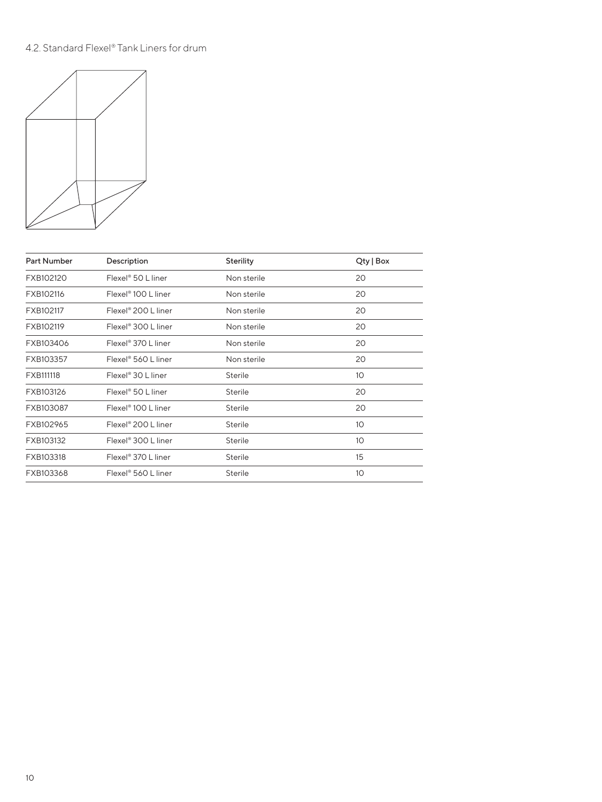#### 4.2. Standard Flexel® Tank Liners for drum



| <b>Part Number</b> | Description                     | Sterility      | Qty   Box       |
|--------------------|---------------------------------|----------------|-----------------|
| FXB102120          | Flexel <sup>®</sup> 50 L liner  | Non sterile    | 20              |
| FXB102116          | Flexel <sup>®</sup> 100 L liner | Non sterile    | 20              |
| FXB102117          | Flexel <sup>®</sup> 200 L liner | Non sterile    | 20              |
| FXB102119          | Flexel <sup>®</sup> 300 L liner | Non sterile    | 20              |
| FXB103406          | Flexel <sup>®</sup> 370 L liner | Non sterile    | 20              |
| FXB103357          | Flexel® 560 L liner             | Non sterile    | 20              |
| FXB111118          | Flexel <sup>®</sup> 30 L liner  | <b>Sterile</b> | 10 <sup>°</sup> |
| FXB103126          | Flexel <sup>®</sup> 50 L liner  | <b>Sterile</b> | 20              |
| FXB103087          | Flexel <sup>®</sup> 100 L liner | Sterile        | 20              |
| FXB102965          | Flexel <sup>®</sup> 200 L liner | <b>Sterile</b> | 10 <sup>°</sup> |
| FXB103132          | Flexel <sup>®</sup> 300 L liner | Sterile        | 10              |
| FXB103318          | Flexel <sup>®</sup> 370 L liner | <b>Sterile</b> | 15              |
| FXB103368          | Flexel <sup>®</sup> 560 L liner | <b>Sterile</b> | 10              |
|                    |                                 |                |                 |